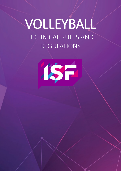# VOLLEYBALL TECHNICAL RULES AND REGULATIONS

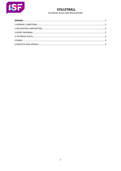

## TECHNICAL RULES AND REGULATIONS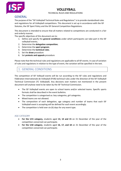#### TECHNICAL RULES AND REGULATIONS



## **GENERAL**

The purpose of the "ISF Volleyball Technical Rules and Regulations" is to provide standardised rules and regulations for all Volleyball competitions. This document is set up in accordance with the ISF Statutes, the ISF Sport Policy and the ISF General Competition Regulations.

This document is intended to ensure that all matters related to competitions are conducted in a fair and orderly manner.

The specific objectives of this document are to:

- 1. Define and specify the **general conditions** under which participants can take part in the ISF volleyball events;
- 2. Determine the **delegation composition**;
- 3. Determine the **sport program**;
- 4. Determine the **technical rules**.
- 5. Set the **draw** procedure
- 6. Set **protests and appeals** procedure

Please note that the technical rules and regulations are applicable to all ISF events. In case of variation of rules and regulations in relation to the type of event, the variation will be specified in the text.

## 1. GENERAL CONDITIONS

The competition of ISF Volleyall events will be run according to the ISF rules and regulations and Fédération Internationale de Volleyball (FIVB) technical rules under the direction of the ISF Volleyball Technical Commission (TC Volleyball). Any decisions over matters not mentioned in the present document will anyhow need to be taken by the ISF Technical Commission.

- The ISF Volleyball events are open to school teams and/or selected teams. Specific sports formats shall be described in the event bulletins.
- The competition is categorised as: boy categories, girl categories.
- Mixed teams are not allowed.
- The composition of each delegation, age category and number of teams that each ISF Volleyball event is accepting will be defined for each event accordingly.
- The competition is held over six (6) days for any event type.

#### AGE CATEGORY

- **For the U15 category,** students aged **13, 14 and 15** on 31 December of the year of the competition concerned can participate.
- **For the U18 category**, students aged **16, 17, and 18** on 31 December of the year of the competition concerned can participate.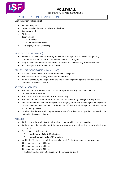

#### TECHNICAL RULES AND REGULATIONS

## 2. DELEGATION COMPOSITION

#### Each delegation will consist of:

- Head of delegation
- Deputy Head of delegation (where applicable)
- Additional adults
- Athletes
- Team officials
	- $\triangleright$  Coaches
	- $\triangleright$  Other team officials
- Field of play officials (referees)

#### HEAD OF DELEGATION (HoD)

- HoD shall be the main intermediary between the delegation and the Local Organising Committee, the ISF Technical Commission and the ISF Delegate.
- They may not combine their role of HoD with that of a coach or any other official role.
- Each delegation is entitled to enter 1 HoD.

#### DEPUTY HEAD OF DELEGATION (Deputy HoD)

- The role of Deputy HoD is to assist the Head of Delegation.
- The presence of the Deputy HoD is not mandatory.
- Number of Deputy HoD depends on the size of the delegation. Specific numbers shall be defined in the event bulletins.

#### ADDITIONAL ADDULTS

- The function of additional adults can be: interpreter, security personnel, ministry representative, media, etc.
- The presence of additional adults is not mandatory.
- The function of each additional adult must be specified during the registration process.
- Any other additional persons not specified during registration or exceeding the limit specified in this document will not be considered part of the official delegation and will not be accredited by the LOC.
- Number of additional adults depends on the size of the delegation. Specific numbers shall be defined in the event bulletins.

#### ATHLETES

- Athletes must be students attending schools that provide general education.
- Athletes must be enrolled as full-time students at a school in the country which they represent.
- Each team is entitled to enter:
	- **a minimum of eight (8) athletes,**
	- **a maximum of twelve (12) athletes.**
- Within the 12 players up to 2 liberos can be listed. So the team may be composed by:
- 12 regular players and 0 libero
- 11 regular players and 1 libero
- 10 regular players and 2 liberos
- If the team has less than 12 players only 1 libero can be listed.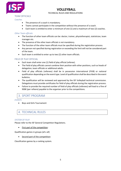

#### TECHNICAL RULES AND REGULATIONS

#### TEAM OFFICIALS

#### *Coaches*

- The presence of a coach is mandatory.
- Teams cannot participate in the competition without the presence of a coach.
- Each team is entitled to enter a minimum of one (1) and a maximum of two (2) coaches.

#### *Other Team officials*

- The function of other team officials can be: doctor, trainer, physiotherapist, statistician, team manager etc.
- The presence of the other team officials is not mandatory.
- The function of the other team officials must be specified during the registration process.
- Any person not specified during registration or exceeding the limit will not be considered part of the team.
- Each team is entitled to enter up to two (2) other team officials.

#### FIELD OF PLAY OFFICIAL

- Each team shall enter one (1) field of play official (referee).
- The Field of play officials cannot combine their position with other positions, such as heads of delegation, team officials or additional adults.
- Field of play officials (referees) shall be in possession international (FIVB) or national qualification depending on the event type. Level of qualification shall be described in the event bulletins.
- The qualification will be reviewed and approved by the ISF Volleyball technical commission. Delegations must provide certificates for field of play officials during the registration process.
- Failure to provide the required number of field of play officials (referees) will lead to a fine of 900€ (per refeere) payable to the organiser prior to the competitions.

## 3. SPORT PROGRAM

#### *EVENTS*

• Boys and Girls Tournament

## 4. TECHNICAL RULES

#### *SYSTEM OF PLAY*

Please refer to the ISF General Competition Regulations.

• First part of the competition:

Qualification games in groups (all x all)

Second part of the competition:

Classification games by a ranking system.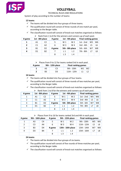

#### TECHNICAL RULES AND REGULATIONS

System of play according to the number of teams:

#### **12 teams**

- $\checkmark$  The teams will be divided into four groups of three teams.
- $\checkmark$  The qualification round will consist of three rounds of one match per pool, according to the Berger table.
- $\checkmark$  The classification round will consist of knock-out matches organised as follows:  $\triangleright$  Rank from 1 to 8 for the winners and runners-up of each pool.

| # game         | 1st - 8th place |                | # game |                  | 1st - 4th place | <b>Final ranking games</b> |                |    |
|----------------|-----------------|----------------|--------|------------------|-----------------|----------------------------|----------------|----|
| 1              | A1              | C <sub>2</sub> |        | W <sub>1</sub>   | W <sub>2</sub>  | 1st - 2nd                  | W <sub>5</sub> | W6 |
| $\overline{2}$ | C <sub>1</sub>  | A2             | 6      | W 3              | W 4             | 3rd - 4th                  | 15             | L6 |
| 3              | <b>B1</b>       | D <sub>2</sub> | # game |                  | 5th - 8th place | 5th - 6th                  | W7             | W8 |
| 4              | D <sub>1</sub>  | <b>B2</b>      |        | $\overline{1}$ 1 | L <sub>2</sub>  | 7th - 8th                  |                | L8 |
|                |                 |                | 8      | L <sub>3</sub>   | L <sub>4</sub>  |                            |                |    |

 $\triangleright$  Places from 9 to 12 for teams ranked 3rd in each pool.

| # game |    | 9th - 12th place | <b>Final ranking games</b> |    |    |  |  |
|--------|----|------------------|----------------------------|----|----|--|--|
|        | AЗ |                  | 9th - 10th                 | W1 | W2 |  |  |
|        | B3 | D3               | 11th - 12th                |    |    |  |  |

#### **16 teams**

- $\checkmark$  The teams will be divided into four groups of four teams.
- $\checkmark$  The qualification round will consist of three rounds of two matches per pool, according to the Berger table.
- $\checkmark$  The classification round will consist of knock-out matches organised as follows:

 $\triangleright$  Rank from 1 to 8 for the winners and runners-up of each pool.

| # game |           | 1st - 8th place | # game |                | 1st - 4th place | <b>Final ranking games</b> |    |    |
|--------|-----------|-----------------|--------|----------------|-----------------|----------------------------|----|----|
|        | A1        | C <sub>2</sub>  | 5      | W <sub>1</sub> | W 2             | 1st - 2nd                  | W5 | W6 |
|        | C1        | A2              | 6      | W 3            | W 4             | 3rd - 4th                  | 15 | L6 |
|        | <b>B1</b> | D <sub>2</sub>  | # game |                | 5th - 8th place | 5th - 6th                  | W7 | W8 |
|        | D1        | <b>B2</b>       |        | l 1            | $\overline{1}$  | 7th - 8th                  |    | L8 |
|        |           |                 |        | L <sub>3</sub> | L <sub>4</sub>  |                            |    |    |

 $\triangleright$  Places from 9 to 16 for teams ranked 3rd and 4th in each pool.

| # game | 9th - 16th place |                | # game | 9th - 12th place |                   | <b>Final ranking games</b> |    |    |  |
|--------|------------------|----------------|--------|------------------|-------------------|----------------------------|----|----|--|
| 1      | A3               | C4             | 5.     | W 1              | W <sub>2</sub>    | 9th - 10th                 | W5 | W6 |  |
| 2      | C <sub>3</sub>   | A4             | 6      | $W_3$            | W 4               | 11th - 12th                | L5 | L6 |  |
| 3      | B <sub>3</sub>   | D <sub>4</sub> | # game |                  | 13th - 16th place | 13th - 14th                | W7 | W8 |  |
| 4      | D <sub>3</sub>   | <b>B4</b>      |        | $\overline{1}$ 1 | $\perp$ 2         | 15th - 16th                |    | L8 |  |
|        |                  |                | 8      | $\perp$ 3        | L4                |                            |    |    |  |

#### **24 teams**

- $\checkmark$  The teams will be divided into four groups of six teams.
- $\checkmark$  The qualification round will consist of five rounds of three matches per pool, according to the Berger table.
- $\checkmark$  The classification round will consist of knock-out matches organised as follows: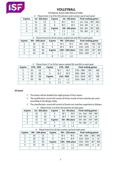

#### TECHNICAL RULES AND REGULATIONS

|  |  |  | $\triangleright$ Places from 1 to 8 for the winners and runners-up of each pool. |
|--|--|--|----------------------------------------------------------------------------------|
|--|--|--|----------------------------------------------------------------------------------|

| # game | 1st - 8th place |                | # game | 1st - 4th place  |                 | <b>Final ranking games</b> |                |    |
|--------|-----------------|----------------|--------|------------------|-----------------|----------------------------|----------------|----|
|        | A1              | C2             |        | W 1              | W 2             | $1st - 2nd$                | W <sub>5</sub> | W6 |
|        | C1              | A <sub>2</sub> | 6      | W 3              | W 4             | $3rd - 4th$                | L5             | L6 |
| 3      | <b>B1</b>       | D <sub>2</sub> | # game |                  | 5th - 8th place | $5th - 6th$                | W7             | W8 |
| 4      | D1              | <b>B2</b>      |        | $\overline{1}$ 1 | $\perp$         | 7th - 8th                  |                | L8 |
|        |                 |                |        | L <sub>3</sub>   | $\perp$ 4       |                            |                |    |

#### $\triangleright$  Places from 9 to 16 for teams ranked 3rd and 4th in each pool.

| # game        |    | 9th - 16th place |        | 9th - 12th place |                   | # game      |                | <b>Final ranking games</b> |  |  |
|---------------|----|------------------|--------|------------------|-------------------|-------------|----------------|----------------------------|--|--|
| $\mathbf{1}$  | A3 | C4               |        | W 1              | W <sub>2</sub>    | 9th - 10th  | W <sub>5</sub> | W <sub>6</sub>             |  |  |
| $\mathcal{P}$ | C3 | A4               | 6      | W <sub>3</sub>   | W 4               | 11th - 12th | L5             | L6                         |  |  |
| 3             | B3 | D4               | # game |                  | 13th - 16th place | 13th - 14th | W7             | W <sub>8</sub>             |  |  |
| 4             | D3 | <b>B4</b>        |        | l 1              | $\overline{1}$    | 15th - 16th |                | L8                         |  |  |
|               |    |                  |        | $L_3$            | L <sub>4</sub>    |             |                |                            |  |  |

 $\triangleright$  Places from 17 to 24 for teams ranked 5th and 6th in each pool.

| # game |                | 17th - 24th | # game |                       | 17th - 20th | <b>Final ranking games</b> |                |                |
|--------|----------------|-------------|--------|-----------------------|-------------|----------------------------|----------------|----------------|
| 1      | A5             | C6          |        | W 2<br>W <sub>1</sub> |             | 17th - 18th                | W <sub>5</sub> | W6             |
| 2      | C <sub>5</sub> | A6          | 6      | W 3                   | W 4         | 19th - 20th                | L5             | L6             |
| 3      | <b>B5</b>      | D6          | # game |                       | 21st - 24th | 21st - 22nd                | W7             | W <sub>8</sub> |
| 4      | D5             | <b>B6</b>   |        | l 1                   | $\sqrt{2}$  | 23rd - 24th                |                | L8             |
|        |                |             |        | L <sub>3</sub>        | L 4         |                            |                |                |

#### **32 teams**

- $\checkmark$  The teams will be divided into eight groups of four teams.
- $\checkmark$  The qualification round will consist of three rounds of two matches per pool, according to the Berger table.
- $\checkmark$  The classification round will consist of knock-out matches organised as follows:  $\triangleright$  Places from 1 to 8 for the winners of each pool.

| # game | 1st - 8th place |                | # game | 1st - 4th place  |                 | <b>Final ranking games</b> |    |    |
|--------|-----------------|----------------|--------|------------------|-----------------|----------------------------|----|----|
|        | Α1              | C <sub>1</sub> |        | W 1              | W 2             | 1st - 2nd                  | W5 | W6 |
| C      | <b>B1</b>       | D <sub>1</sub> | 6      | W <sub>3</sub>   | W 4             | $3rd - 4th$                | L5 | L6 |
| 3      | F <sub>1</sub>  | G1             | # game |                  | 5th - 8th place |                            | W7 | W8 |
|        | F <sub>1</sub>  | H1             |        | $\overline{1}$ 1 | $\sqrt{2}$      | 7th - 8th                  |    | L8 |
|        |                 |                |        | $L_3$            | $\perp$ 4       |                            |    |    |

| # game        | 9th - 16th place |                | # game |                       | 9th - 12th place  | <b>Final ranking games</b> |    |                |
|---------------|------------------|----------------|--------|-----------------------|-------------------|----------------------------|----|----------------|
| 1             | A2               | C2             |        | W <sub>1</sub><br>W 2 |                   | 9th - 10th                 | W5 | W <sub>6</sub> |
| $\mathcal{P}$ | <b>B2</b>        | D <sub>2</sub> | 6      | W <sub>3</sub>        | W 4               | 11th - 12th                | L5 | L6             |
| 3             | E <sub>2</sub>   | G <sub>2</sub> | # game |                       | 13th - 16th place | 13th - 14th                | W7 | W8             |
| 4             | F <sub>2</sub>   | H <sub>2</sub> |        | $\lfloor 1 \rfloor$   | $\sqrt{2}$        | 15th - 16th                |    | L8             |
|               |                  |                | 8      | L <sub>3</sub>        | L 4               |                            |    |                |

#### $\triangleright$  Places from 9 to 16 the runners-up from each pool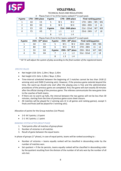

#### TECHNICAL RULES AND REGULATIONS

|        |                   |    |        |                | $1$ 1965 119111 $\pm$ 7 to 2 T for teams family and the annual moon. |                            |                |                |  |
|--------|-------------------|----|--------|----------------|----------------------------------------------------------------------|----------------------------|----------------|----------------|--|
| # game | 17th - 24th place |    | # game |                | 17th - 20th place                                                    | <b>Final ranking games</b> |                |                |  |
|        | A3                | C3 |        | W <sub>1</sub> | W <sub>2</sub>                                                       | 17th - 18th                | W <sub>5</sub> | W6             |  |
|        | B <sub>3</sub>    | D3 |        | W <sub>3</sub> | W 4                                                                  | 19th - 20th                | L5             | L6             |  |
|        | E3                | G3 | # game |                | 21st - 24th place                                                    |                            | W7             | W <sub>8</sub> |  |
|        | F3                | H3 |        | I 1            | L2                                                                   | 23rd - 24th                | L7             | L8             |  |
|        |                   |    | 8      | L 3            |                                                                      |                            |                |                |  |

Places from 17 to 24 for teams ranked 3<sup>rd</sup> in each pool

#### Places from 25 to 32 for teams ranked  $4<sup>th</sup>$  in each pool.

| # game | 25th - 32 <sup>nd</sup> place |                | # game | 25th - 28 <sup>th</sup> place |                | <b>Final ranking games</b> |                |                |
|--------|-------------------------------|----------------|--------|-------------------------------|----------------|----------------------------|----------------|----------------|
|        | A4                            | C4             |        | W <sub>1</sub>                | W <sub>2</sub> | 25th - 26th                | W <sub>5</sub> | W <sub>6</sub> |
|        | <b>B4</b>                     | D <sub>4</sub> | 6      | W <sub>3</sub>                | W 4            | 27th - 28th                | L5             | L6             |
|        | E4                            | G4             | # game | 29th - $32nd$ place           |                | 29th - 30rd                | W7             | W <sub>8</sub> |
|        | F4                            | Η4             |        | $\overline{1}$ 1              | $\overline{2}$ | 31st - 32nd                |                | L8             |
|        |                               |                | 8      | $\perp$ 3                     | L <sub>4</sub> |                            |                |                |

*\* ISF TC will adjust the system of play according to the final number of the registered teams*

#### *SPECIFIC RULES*

- Net height U18: Girls: 2,24m / Boys: 2,43m
- Net height U15: Girls: 2,20m / Boys: 2,35m
- Time-interval scheduled between the beginning of 2 matches cannot be less than 1h30 (2 winning sets) and 2h00 (3 winning sets). However, if the previous game extends beyond the time, the warm-up should only start after the playing area is free and the administrative procedures of the previous game are completed. And, the game will start exactly 30 minutes after the official closing of the previous game. The referees communicate the new game time to the coaches of both teams.
- If there are no warm-up halls, the interval between the two games will not be less than 30 minutes, starting from the time of previous game score sheet closure.
- All matches will be played for 2 winning sets (2 in all games and ranking games), except  $\frac{1}{2}$ finals and finals (will be played for 3 winning sets).

Allocation of points for the Group matches (1st Phase):

- 2-0: W 3 points; L 0 point
- $\bullet$  2-1: W 2 points; L 1 point

#### *RANKING SYSTEM AFTER GROUP PHASE*

- 1. Total points after all matches of group phase
- 2. Number of victories in all matches
- 3. Result of game between the equal teams

In phase of groups ( $1<sup>st</sup>$  phase), in case of equal points, teams will be ranked according to :

- Number of victories = teams equally ranked will be classified in descending order by the number of matches won.
- Set quotient = if the tie persists, teams equally ranked will be classified in descending order by the quotient resulting from the division of the number of all sets won by the number of all sets lost.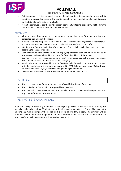

#### TECHNICAL RULES AND REGULATIONS

- Points quotient = if the tie persists as per the set quotient, teams equally ranked will be classified in descending order by the quotient resulting from the division of all points scored by the total of points lost during all sets.
- If the tie continues as per the point quotient between two teams, the priority will be given to the team which won the last match between them.

#### *OTHER RULES*

- All teams must show up at the competition venue not later than 30 minutes before the scheduled beginning of the match.
- In case a team shows up later than 15 minutes after the scheduled beginning of the match, it will automatically lose the match by 2-0 (25/0; 25/0) or 3-0 (25/0; 25/0; 25/0).
- 30 minutes before the beginning of the match, referees shall check players of both teams according to the specified lists.
- Each team must have available two sets of playing uniforms, each one of a different color. The shirts must be numbered from 1 to 20 (in front of and back of the shirts).
- Each player must wear the same number given at accreditation during the entire competition. The number is written on the accreditation card (AC).
- Match balls are to be provided by the OC (3 official balls for each court) and should comply with the regulations of the same type, approved by FIVB. Balls for warming up (2x6) will also be provided by the OC, or, eventually, brought along by the teams
- The brand of the official competition ball shall be published in Bulletin 2.

### 5. DRAW

- The ISF is responsible for establishing, criteria's and fixing timing of the draw.
- The ISF Technical Commission is responsible of the draw.
- The draw will take into account results achieved in previous ISF Volleyball competitions and any other information relevant to ISF.

## 6. PROTESTS AND APPEALS

Appeals involving results or any matter not concerning discipline will be heard by the Appeal Jury. The appeal must be lodged within 30 minutes of the incident and be submitted in English. The payment of amount 50€ must accompany the appeal and is to be paid to LOC in cash. This payment will be refunded only if the appeal is upheld or at the discretion of the Appeal Jury. In the case of an unsuccessful appeal, the payment will be retained by the ISF.